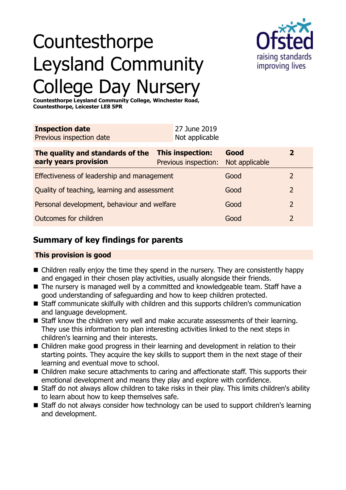

# Countesthorpe Leysland Community College Day Nursery

**Countesthorpe Leysland Community College, Winchester Road, Countesthorpe, Leicester LE8 5PR**

| <b>Inspection date</b><br>Previous inspection date        | 27 June 2019<br>Not applicable           |                        |                |  |
|-----------------------------------------------------------|------------------------------------------|------------------------|----------------|--|
| The quality and standards of the<br>early years provision | This inspection:<br>Previous inspection: | Good<br>Not applicable | $\overline{2}$ |  |
| Effectiveness of leadership and management                |                                          | Good                   | 2              |  |
| Quality of teaching, learning and assessment              |                                          | Good                   | $\overline{2}$ |  |
| Personal development, behaviour and welfare               |                                          | Good                   | $\overline{2}$ |  |
| Outcomes for children                                     |                                          | Good                   | 2              |  |

# **Summary of key findings for parents**

## **This provision is good**

- $\blacksquare$  Children really enjoy the time they spend in the nursery. They are consistently happy and engaged in their chosen play activities, usually alongside their friends.
- The nursery is managed well by a committed and knowledgeable team. Staff have a good understanding of safeguarding and how to keep children protected.
- Staff communicate skilfully with children and this supports children's communication and language development.
- Staff know the children very well and make accurate assessments of their learning. They use this information to plan interesting activities linked to the next steps in children's learning and their interests.
- Children make good progress in their learning and development in relation to their starting points. They acquire the key skills to support them in the next stage of their learning and eventual move to school.
- Children make secure attachments to caring and affectionate staff. This supports their emotional development and means they play and explore with confidence.
- Staff do not always allow children to take risks in their play. This limits children's ability to learn about how to keep themselves safe.
- Staff do not always consider how technology can be used to support children's learning and development.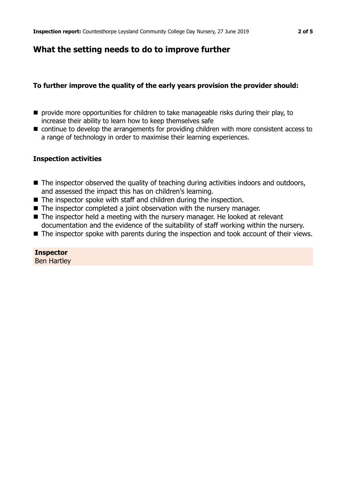# **What the setting needs to do to improve further**

## **To further improve the quality of the early years provision the provider should:**

- $\blacksquare$  provide more opportunities for children to take manageable risks during their play, to increase their ability to learn how to keep themselves safe
- continue to develop the arrangements for providing children with more consistent access to a range of technology in order to maximise their learning experiences.

### **Inspection activities**

- The inspector observed the quality of teaching during activities indoors and outdoors, and assessed the impact this has on children's learning.
- $\blacksquare$  The inspector spoke with staff and children during the inspection.
- $\blacksquare$  The inspector completed a joint observation with the nursery manager.
- $\blacksquare$  The inspector held a meeting with the nursery manager. He looked at relevant documentation and the evidence of the suitability of staff working within the nursery.
- $\blacksquare$  The inspector spoke with parents during the inspection and took account of their views.

## **Inspector**

Ben Hartley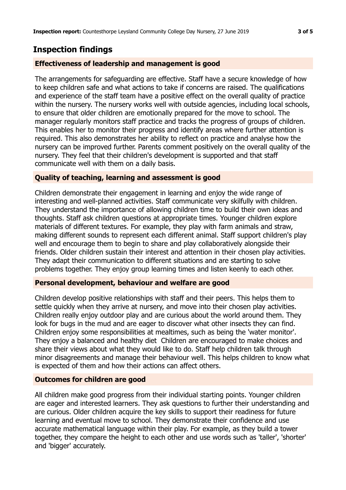# **Inspection findings**

## **Effectiveness of leadership and management is good**

The arrangements for safeguarding are effective. Staff have a secure knowledge of how to keep children safe and what actions to take if concerns are raised. The qualifications and experience of the staff team have a positive effect on the overall quality of practice within the nursery. The nursery works well with outside agencies, including local schools, to ensure that older children are emotionally prepared for the move to school. The manager regularly monitors staff practice and tracks the progress of groups of children. This enables her to monitor their progress and identify areas where further attention is required. This also demonstrates her ability to reflect on practice and analyse how the nursery can be improved further. Parents comment positively on the overall quality of the nursery. They feel that their children's development is supported and that staff communicate well with them on a daily basis.

### **Quality of teaching, learning and assessment is good**

Children demonstrate their engagement in learning and enjoy the wide range of interesting and well-planned activities. Staff communicate very skilfully with children. They understand the importance of allowing children time to build their own ideas and thoughts. Staff ask children questions at appropriate times. Younger children explore materials of different textures. For example, they play with farm animals and straw, making different sounds to represent each different animal. Staff support children's play well and encourage them to begin to share and play collaboratively alongside their friends. Older children sustain their interest and attention in their chosen play activities. They adapt their communication to different situations and are starting to solve problems together. They enjoy group learning times and listen keenly to each other.

#### **Personal development, behaviour and welfare are good**

Children develop positive relationships with staff and their peers. This helps them to settle quickly when they arrive at nursery, and move into their chosen play activities. Children really enjoy outdoor play and are curious about the world around them. They look for bugs in the mud and are eager to discover what other insects they can find. Children enjoy some responsibilities at mealtimes, such as being the 'water monitor'. They enjoy a balanced and healthy diet Children are encouraged to make choices and share their views about what they would like to do. Staff help children talk through minor disagreements and manage their behaviour well. This helps children to know what is expected of them and how their actions can affect others.

### **Outcomes for children are good**

All children make good progress from their individual starting points. Younger children are eager and interested learners. They ask questions to further their understanding and are curious. Older children acquire the key skills to support their readiness for future learning and eventual move to school. They demonstrate their confidence and use accurate mathematical language within their play. For example, as they build a tower together, they compare the height to each other and use words such as 'taller', 'shorter' and 'bigger' accurately.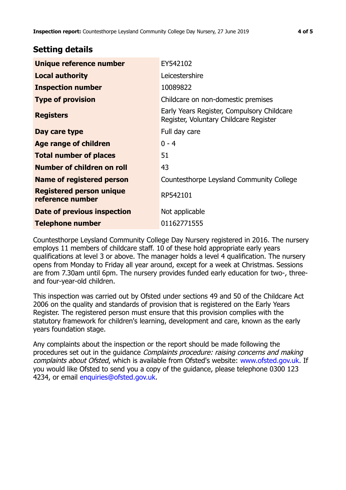## **Setting details**

| Unique reference number                             | EY542102                                                                             |  |
|-----------------------------------------------------|--------------------------------------------------------------------------------------|--|
| <b>Local authority</b>                              | Leicestershire                                                                       |  |
| <b>Inspection number</b>                            | 10089822                                                                             |  |
| <b>Type of provision</b>                            | Childcare on non-domestic premises                                                   |  |
| <b>Registers</b>                                    | Early Years Register, Compulsory Childcare<br>Register, Voluntary Childcare Register |  |
| Day care type                                       | Full day care                                                                        |  |
| Age range of children                               | $0 - 4$                                                                              |  |
| <b>Total number of places</b>                       | 51                                                                                   |  |
| Number of children on roll                          | 43                                                                                   |  |
| Name of registered person                           | Countesthorpe Leysland Community College                                             |  |
| <b>Registered person unique</b><br>reference number | RP542101                                                                             |  |
| <b>Date of previous inspection</b>                  | Not applicable                                                                       |  |
| <b>Telephone number</b>                             | 01162771555                                                                          |  |

Countesthorpe Leysland Community College Day Nursery registered in 2016. The nursery employs 11 members of childcare staff. 10 of these hold appropriate early years qualifications at level 3 or above. The manager holds a level 4 qualification. The nursery opens from Monday to Friday all year around, except for a week at Christmas. Sessions are from 7.30am until 6pm. The nursery provides funded early education for two-, threeand four-year-old children.

This inspection was carried out by Ofsted under sections 49 and 50 of the Childcare Act 2006 on the quality and standards of provision that is registered on the Early Years Register. The registered person must ensure that this provision complies with the statutory framework for children's learning, development and care, known as the early years foundation stage.

Any complaints about the inspection or the report should be made following the procedures set out in the guidance Complaints procedure: raising concerns and making complaints about Ofsted, which is available from Ofsted's website: www.ofsted.gov.uk. If you would like Ofsted to send you a copy of the guidance, please telephone 0300 123 4234, or email [enquiries@ofsted.gov.uk.](mailto:enquiries@ofsted.gov.uk)